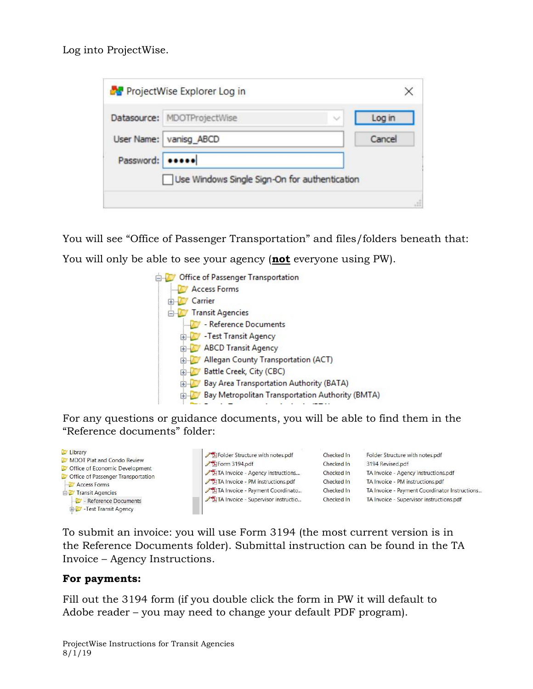Log into ProjectWise.

| Datasource: | MDOTProjectWise          | $\checkmark$ | Log in |
|-------------|--------------------------|--------------|--------|
|             | User Name:   vanisg_ABCD |              | Cancel |
| Password:   |                          |              |        |

You will see "Office of Passenger Transportation" and files/folders beneath that: You will only be able to see your agency (**not** everyone using PW).



For any questions or guidance documents, you will be able to find them in the "Reference documents" folder:



To submit an invoice: you will use Form 3194 (the most current version is in the Reference Documents folder). Submittal instruction can be found in the TA Invoice – Agency Instructions.

### For payments:

Fill out the 3194 form (if you double click the form in PW it will default to Adobe reader – you may need to change your default PDF program).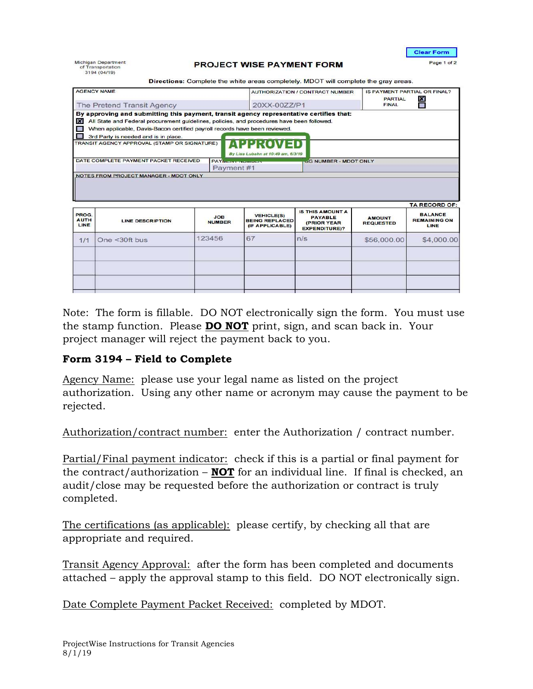**Clear Form** Page 1 of 2

Michigan Department<br>of Transportation 3194 (04/19)

#### **PROJECT WISE PAYMENT FORM**

Directions: Complete the white areas completely. MDOT will complete the gray areas.

| <b>AGENCY NAME</b><br>The Pretend Transit Agency |                                                                                                                                                                                                                                                                                                                                                             |                             |                                                               | <b>AUTHORIZATION / CONTRACT NUMBER</b>                                           | IS PAYMENT PARTIAL OR FINAL?<br>$\boldsymbol{\mathsf{x}}$<br><b>PARTIAL</b> |                                               |
|--------------------------------------------------|-------------------------------------------------------------------------------------------------------------------------------------------------------------------------------------------------------------------------------------------------------------------------------------------------------------------------------------------------------------|-----------------------------|---------------------------------------------------------------|----------------------------------------------------------------------------------|-----------------------------------------------------------------------------|-----------------------------------------------|
|                                                  |                                                                                                                                                                                                                                                                                                                                                             |                             | 20XX-00ZZ/P1                                                  |                                                                                  | <b>FINAL</b>                                                                |                                               |
| $\mathbf x$<br>談<br>韵                            | By approving and submitting this payment, transit agency representative certifies that:<br>All State and Federal procurement guidelines, policies, and procedures have been followed.<br>When applicable, Davis-Bacon certified payroll records have been reviewed.<br>3rd Party is needed and is in place.<br>TRANSIT AGENCY APPROVAL (STAMP OR SIGNATURE) |                             | By Lisa Lubahn at 10:49 am, 6/3/19                            |                                                                                  |                                                                             |                                               |
|                                                  | DATE COMPLETE PAYMENT PACKET RECEIVED<br>NOTES FROM PROJECT MANAGER - MDOT ONLY                                                                                                                                                                                                                                                                             | Payment #1                  | <b>PAYMENT INVISIONS</b>                                      | GG NUMBER - MDOT ONLY                                                            |                                                                             |                                               |
|                                                  |                                                                                                                                                                                                                                                                                                                                                             |                             |                                                               |                                                                                  |                                                                             |                                               |
|                                                  |                                                                                                                                                                                                                                                                                                                                                             |                             |                                                               |                                                                                  |                                                                             | <b>TA RECORD OF:</b>                          |
| PROG.<br><b>AUTH</b><br>LINE                     | <b>LINE DESCRIPTION</b>                                                                                                                                                                                                                                                                                                                                     | <b>JOB</b><br><b>NUMBER</b> | <b>VEHICLE(S)</b><br><b>BEING REPLACED</b><br>(IF APPLICABLE) | <b>IS THIS AMOUNT A</b><br><b>PAYABLE</b><br>(PRIOR YEAR<br><b>EXPENDITURE)?</b> | <b>AMOUNT</b><br><b>REQUESTED</b>                                           | <b>BALANCE</b><br><b>REMAINING ON</b><br>LINE |
| 1/1                                              | One <30ft bus                                                                                                                                                                                                                                                                                                                                               | 123456                      | 67                                                            | n/s                                                                              | \$56,000.00                                                                 | \$4,000.00                                    |

Note: The form is fillable. DO NOT electronically sign the form. You must use the stamp function. Please **DO NOT** print, sign, and scan back in. Your project manager will reject the payment back to you.

### Form 3194 – Field to Complete

Agency Name: please use your legal name as listed on the project authorization. Using any other name or acronym may cause the payment to be rejected.

Authorization/contract number: enter the Authorization / contract number.

Partial/Final payment indicator: check if this is a partial or final payment for the contract/authorization – **NOT** for an individual line. If final is checked, an audit/close may be requested before the authorization or contract is truly completed.

The certifications (as applicable): please certify, by checking all that are appropriate and required.

Transit Agency Approval: after the form has been completed and documents attached – apply the approval stamp to this field. DO NOT electronically sign.

Date Complete Payment Packet Received: completed by MDOT.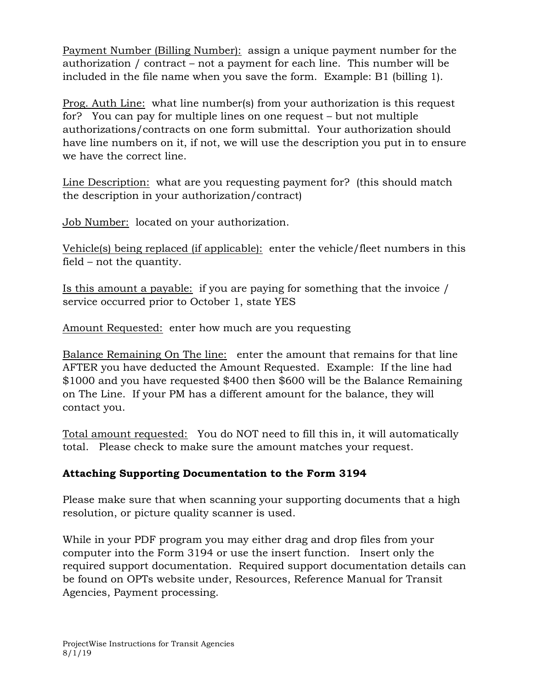Payment Number (Billing Number): assign a unique payment number for the authorization / contract – not a payment for each line. This number will be included in the file name when you save the form. Example: B1 (billing 1).

Prog. Auth Line: what line number(s) from your authorization is this request for? You can pay for multiple lines on one request – but not multiple authorizations/contracts on one form submittal. Your authorization should have line numbers on it, if not, we will use the description you put in to ensure we have the correct line.

Line Description: what are you requesting payment for? (this should match the description in your authorization/contract)

Job Number: located on your authorization.

Vehicle(s) being replaced (if applicable): enter the vehicle/fleet numbers in this field – not the quantity.

Is this amount a payable: if you are paying for something that the invoice / service occurred prior to October 1, state YES

Amount Requested: enter how much are you requesting

Balance Remaining On The line: enter the amount that remains for that line AFTER you have deducted the Amount Requested. Example: If the line had \$1000 and you have requested \$400 then \$600 will be the Balance Remaining on The Line. If your PM has a different amount for the balance, they will contact you.

Total amount requested: You do NOT need to fill this in, it will automatically total. Please check to make sure the amount matches your request.

## Attaching Supporting Documentation to the Form 3194

Please make sure that when scanning your supporting documents that a high resolution, or picture quality scanner is used.

While in your PDF program you may either drag and drop files from your computer into the Form 3194 or use the insert function. Insert only the required support documentation. Required support documentation details can be found on OPTs website under, Resources, Reference Manual for Transit Agencies, Payment processing.